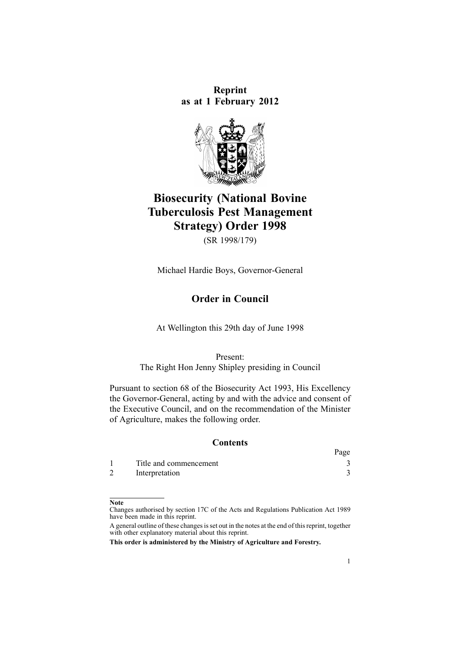**Reprint as at 1 February 2012**



# **Biosecurity (National Bovine Tuberculosis Pest Management Strategy) Order 1998**

(SR 1998/179)

Michael Hardie Boys, Governor-General

# **Order in Council**

At Wellington this 29th day of June 1998

Present: The Right Hon Jenny Shipley presiding in Council

Pursuant to [section](http://www.legislation.govt.nz/pdflink.aspx?id=DLM315704) 68 of the Biosecurity Act 1993, His Excellency the Governor-General, acting by and with the advice and consent of the Executive Council, and on the recommendation of the Minister of Agriculture, makes the following order.

#### **Contents**

|                        | Page |
|------------------------|------|
| Title and commencement |      |
| Interpretation         |      |

#### **Note**

Changes authorised by [section](http://www.legislation.govt.nz/pdflink.aspx?id=DLM195466) 17C of the Acts and Regulations Publication Act 1989 have been made in this reprint.

A general outline of these changes is set out in the notes at the end of this reprint, together with other explanatory material about this reprint.

**This order is administered by the Ministry of Agriculture and Forestry.**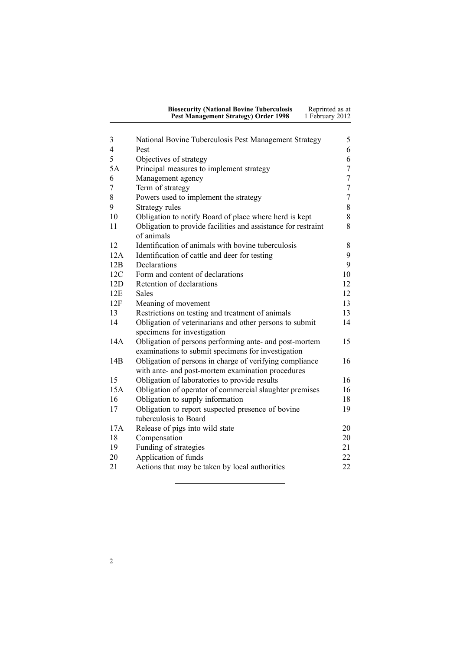| <b>Biosecurity (National Bovine Tuberculosis</b> | Reprinted as at |
|--------------------------------------------------|-----------------|
| Pest Management Strategy) Order 1998             | 1 February 2012 |

| 3              | National Bovine Tuberculosis Pest Management Strategy                                                        | 5                |
|----------------|--------------------------------------------------------------------------------------------------------------|------------------|
| $\overline{4}$ | Pest                                                                                                         | 6                |
| 5              | Objectives of strategy                                                                                       | 6                |
| 5A             | Principal measures to implement strategy                                                                     | $\sqrt{ }$       |
| 6              | Management agency                                                                                            | $\tau$           |
| 7              | Term of strategy                                                                                             | $\tau$           |
| 8              | Powers used to implement the strategy                                                                        | $\boldsymbol{7}$ |
| 9              | Strategy rules                                                                                               | 8                |
| 10             | Obligation to notify Board of place where herd is kept                                                       | 8                |
| 11             | Obligation to provide facilities and assistance for restraint<br>of animals                                  | 8                |
| 12             | Identification of animals with bovine tuberculosis                                                           | 8                |
| 12A            | Identification of cattle and deer for testing                                                                | 9                |
| 12B            | Declarations                                                                                                 | 9                |
| 12C            | Form and content of declarations                                                                             | 10               |
| 12D            | Retention of declarations                                                                                    | 12               |
| 12E            | <b>Sales</b>                                                                                                 | 12               |
| 12F            | Meaning of movement                                                                                          | 13               |
| 13             | Restrictions on testing and treatment of animals                                                             | 13               |
| 14             | Obligation of veterinarians and other persons to submit                                                      | 14               |
|                | specimens for investigation                                                                                  |                  |
| 14A            | Obligation of persons performing ante- and post-mortem<br>examinations to submit specimens for investigation | 15               |
| 14B            | Obligation of persons in charge of verifying compliance                                                      | 16               |
|                | with ante- and post-mortem examination procedures                                                            |                  |
| 15             | Obligation of laboratories to provide results                                                                | 16               |
| 15A            | Obligation of operator of commercial slaughter premises                                                      | 16               |
| 16             | Obligation to supply information                                                                             | 18               |
| 17             | Obligation to report suspected presence of bovine                                                            | 19               |
|                | tuberculosis to Board                                                                                        |                  |
| 17A            | Release of pigs into wild state                                                                              | 20               |
| 18             | Compensation                                                                                                 | 20               |
| 19             | Funding of strategies                                                                                        | 21               |
| 20             | Application of funds                                                                                         | 22               |
| 21             | Actions that may be taken by local authorities                                                               | 22               |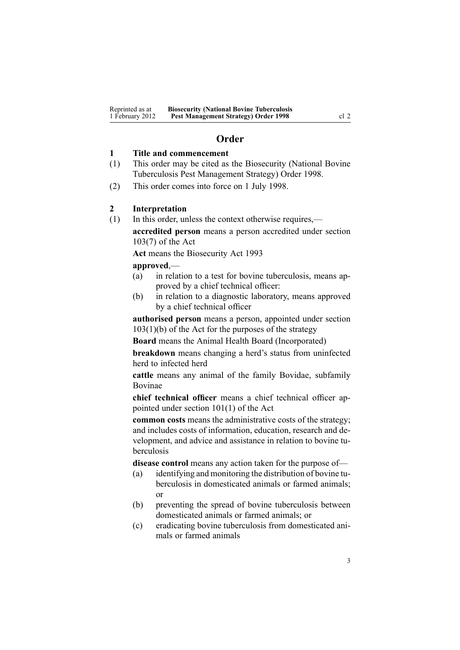# **Order**

#### <span id="page-2-0"></span>**1 Title and commencement**

- (1) This order may be cited as the Biosecurity (National Bovine Tuberculosis Pest Management Strategy) Order 1998.
- (2) This order comes into force on 1 July 1998.

### **2 Interpretation**

(1) In this order, unless the context otherwise requires, **accredited person** means <sup>a</sup> person accredited under [section](http://www.legislation.govt.nz/pdflink.aspx?id=DLM316059) [103\(7\)](http://www.legislation.govt.nz/pdflink.aspx?id=DLM316059) of the Act

**Act** means the [Biosecurity](http://www.legislation.govt.nz/pdflink.aspx?id=DLM314622) Act 1993

**approved**,—

- (a) in relation to <sup>a</sup> test for bovine tuberculosis, means approved by <sup>a</sup> chief technical officer:
- (b) in relation to <sup>a</sup> diagnostic laboratory, means approved by <sup>a</sup> chief technical officer

**authorised person** means <sup>a</sup> person, appointed under [section](http://www.legislation.govt.nz/pdflink.aspx?id=DLM316059)  $103(1)(b)$  of the Act for the purposes of the strategy

**Board** means the Animal Health Board (Incorporated)

**breakdown** means changing <sup>a</sup> herd's status from uninfected herd to infected herd

**cattle** means any animal of the family Bovidae, subfamily Bovinae

**chief technical officer** means <sup>a</sup> chief technical officer appointed under section [101\(1\)](http://www.legislation.govt.nz/pdflink.aspx?id=DLM316050) of the Act

**common costs** means the administrative costs of the strategy; and includes costs of information, education, research and development, and advice and assistance in relation to bovine tuberculosis

**disease control** means any action taken for the purpose of—

- (a) identifying and monitoring the distribution of bovine tuberculosis in domesticated animals or farmed animals; or
- (b) preventing the spread of bovine tuberculosis between domesticated animals or farmed animals; or
- (c) eradicating bovine tuberculosis from domesticated animals or farmed animals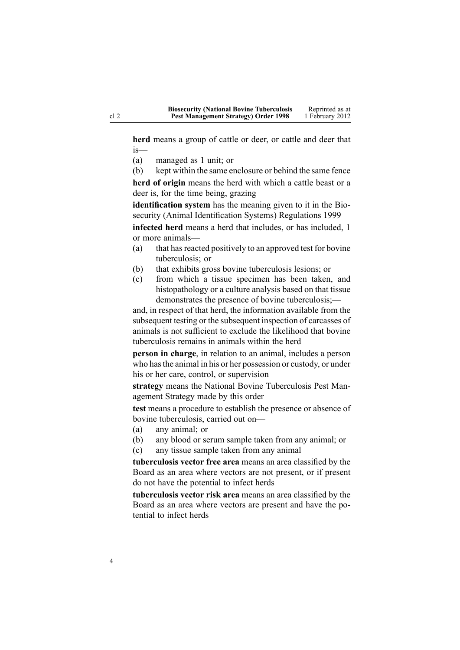**herd** means <sup>a</sup> group of cattle or deer, or cattle and deer that is—

- (a) managed as 1 unit; or
- (b) kept within the same enclosure or behind the same fence

**herd of origin** means the herd with which <sup>a</sup> cattle beast or <sup>a</sup> deer is, for the time being, grazing

**identification system** has the meaning given to it in the [Bio](http://www.legislation.govt.nz/pdflink.aspx?id=DLM284288)security (Animal Identification Systems) [Regulations](http://www.legislation.govt.nz/pdflink.aspx?id=DLM284288) 1999

**infected herd** means <sup>a</sup> herd that includes, or has included, 1 or more animals—

- (a) that has reacted positively to an approved test for bovine tuberculosis; or
- (b) that exhibits gross bovine tuberculosis lesions; or
- (c) from which <sup>a</sup> tissue specimen has been taken, and histopathology or <sup>a</sup> culture analysis based on that tissue demonstrates the presence of bovine tuberculosis;—

and, in respec<sup>t</sup> of that herd, the information available from the subsequent testing or the subsequent inspection of carcasses of animals is not sufficient to exclude the likelihood that bovine tuberculosis remains in animals within the herd

**person in charge**, in relation to an animal, includes <sup>a</sup> person who hasthe animal in his or her possession or custody, or under his or her care, control, or supervision

**strategy** means the National Bovine Tuberculosis Pest Managemen<sup>t</sup> Strategy made by this order

**test** means <sup>a</sup> procedure to establish the presence or absence of bovine tuberculosis, carried out on—

- (a) any animal; or
- (b) any blood or serum sample taken from any animal; or
- (c) any tissue sample taken from any animal

**tuberculosis vector free area** means an area classified by the Board as an area where vectors are not present, or if presen<sup>t</sup> do not have the potential to infect herds

**tuberculosis vector risk area** means an area classified by the Board as an area where vectors are presen<sup>t</sup> and have the potential to infect herds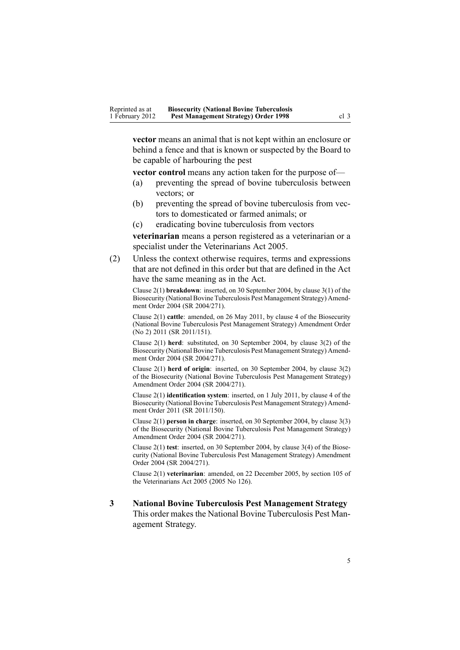<span id="page-4-0"></span>**vector** means an animal that is not kept within an enclosure or behind <sup>a</sup> fence and that is known or suspected by the Board to be capable of harbouring the pes<sup>t</sup>

**vector control** means any action taken for the purpose of—

- (a) preventing the spread of bovine tuberculosis between vectors; or
- (b) preventing the spread of bovine tuberculosis from vectors to domesticated or farmed animals; or
- (c) eradicating bovine tuberculosis from vectors

**veterinarian** means <sup>a</sup> person registered as <sup>a</sup> veterinarian or <sup>a</sup> specialist under the [Veterinarians](http://www.legislation.govt.nz/pdflink.aspx?id=DLM363858) Act 2005.

(2) Unless the context otherwise requires, terms and expressions that are not defined in this order but that are defined in the Act have the same meaning as in the Act.

Clause 2(1) **breakdown**: inserted, on 30 September 2004, by [clause](http://www.legislation.govt.nz/pdflink.aspx?id=DLM283061) 3(1) of the Biosecurity (National Bovine Tuberculosis Pest Management Strategy) Amendment Order 2004 (SR 2004/271).

Clause 2(1) **cattle**: amended, on 26 May 2011, by [clause](http://www.legislation.govt.nz/pdflink.aspx?id=DLM3696907) 4 of the Biosecurity (National Bovine Tuberculosis Pest Management Strategy) Amendment Order (No 2) 2011 (SR 2011/151).

Clause 2(1) **herd**: substituted, on 30 September 2004, by [clause](http://www.legislation.govt.nz/pdflink.aspx?id=DLM283061) 3(2) of the Biosecurity (National Bovine Tuberculosis Pest Management Strategy) Amendment Order 2004 (SR 2004/271).

Clause 2(1) **herd of origin**: inserted, on 30 September 2004, by [clause](http://www.legislation.govt.nz/pdflink.aspx?id=DLM283061) 3(2) of the Biosecurity (National Bovine Tuberculosis Pest Management Strategy) Amendment Order 2004 (SR 2004/271).

Clause 2(1) **identification system**: inserted, on 1 July 2011, by [clause](http://www.legislation.govt.nz/pdflink.aspx?id=DLM3765120) 4 of the Biosecurity (National Bovine Tuberculosis Pest Management Strategy) Amendment Order 2011 (SR 2011/150).

Clause 2(1) **person in charge**: inserted, on 30 September 2004, by [clause](http://www.legislation.govt.nz/pdflink.aspx?id=DLM283061) 3(3) of the Biosecurity (National Bovine Tuberculosis Pest Management Strategy) Amendment Order 2004 (SR 2004/271).

Clause 2(1) **test**: inserted, on 30 September 2004, by [clause](http://www.legislation.govt.nz/pdflink.aspx?id=DLM283061) 3(4) of the Biosecurity (National Bovine Tuberculosis Pest Management Strategy) Amendment Order 2004 (SR 2004/271).

Clause 2(1) **veterinarian**: amended, on 22 December 2005, by [section](http://www.legislation.govt.nz/pdflink.aspx?id=DLM364675) 105 of the Veterinarians Act 2005 (2005 No 126).

**3 National Bovine Tuberculosis Pest Management Strategy** This order makes the National Bovine Tuberculosis Pest Managemen<sup>t</sup> Strategy.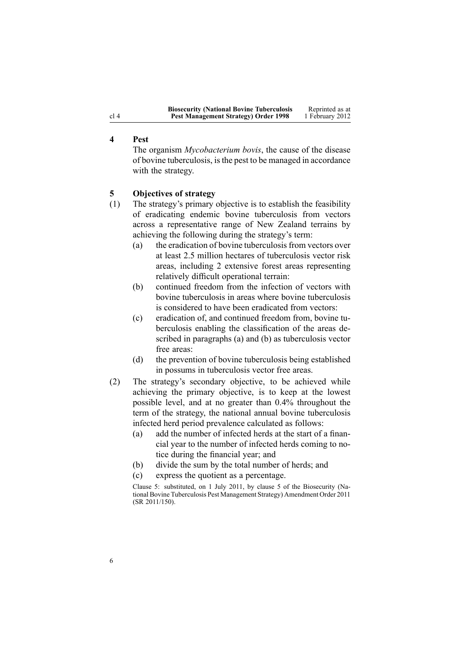| <b>Biosecurity (National Bovine Tuberculosis</b> | Reprinted as at |
|--------------------------------------------------|-----------------|
| <b>Pest Management Strategy) Order 1998</b>      | 1 February 2012 |

# **4 Pest**

The organism *Mycobacterium bovis*, the cause of the disease of bovine tuberculosis, isthe pes<sup>t</sup> to be managed in accordance with the strategy.

## **5 Objectives of strategy**

- (1) The strategy's primary objective is to establish the feasibility of eradicating endemic bovine tuberculosis from vectors across <sup>a</sup> representative range of New Zealand terrains by achieving the following during the strategy's term:
	- (a) the eradication of bovine tuberculosisfrom vectors over at least 2.5 million hectares of tuberculosis vector risk areas, including 2 extensive forest areas representing relatively difficult operational terrain:
	- (b) continued freedom from the infection of vectors with bovine tuberculosis in areas where bovine tuberculosis is considered to have been eradicated from vectors:
	- (c) eradication of, and continued freedom from, bovine tuberculosis enabling the classification of the areas described in paragraphs (a) and (b) as tuberculosis vector free areas:
	- (d) the prevention of bovine tuberculosis being established in possums in tuberculosis vector free areas.
- (2) The strategy's secondary objective, to be achieved while achieving the primary objective, is to keep at the lowest possible level, and at no greater than 0.4% throughout the term of the strategy, the national annual bovine tuberculosis infected herd period prevalence calculated as follows:
	- (a) add the number of infected herds at the start of <sup>a</sup> financial year to the number of infected herds coming to notice during the financial year; and
	- (b) divide the sum by the total number of herds; and
	- (c) express the quotient as <sup>a</sup> percentage.

Clause 5: substituted, on 1 July 2011, by [clause](http://www.legislation.govt.nz/pdflink.aspx?id=DLM3765124) 5 of the Biosecurity (National Bovine Tuberculosis Pest Management Strategy) Amendment Order 2011 (SR 2011/150).

<span id="page-5-0"></span>cl 4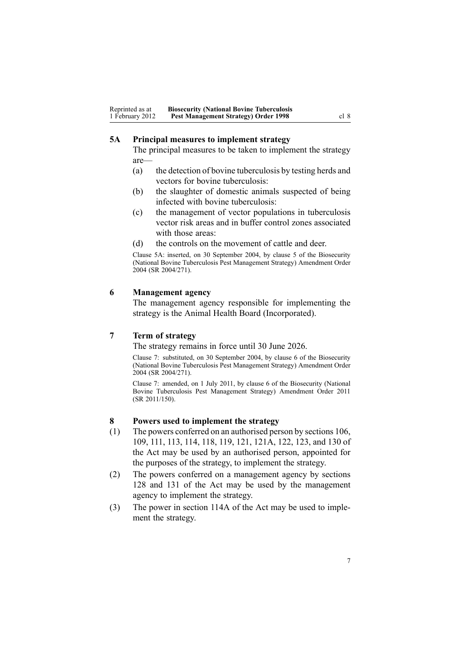# <span id="page-6-0"></span>**5A Principal measures to implement strategy**

The principal measures to be taken to implement the strategy are—

- (a) the detection of bovine tuberculosis by testing herds and vectors for bovine tuberculosis:
- (b) the slaughter of domestic animals suspected of being infected with bovine tuberculosis:
- (c) the managemen<sup>t</sup> of vector populations in tuberculosis vector risk areas and in buffer control zones associated with those areas:
- (d) the controls on the movement of cattle and deer.

Clause 5A: inserted, on 30 September 2004, by [clause](http://www.legislation.govt.nz/pdflink.aspx?id=DLM283074) 5 of the Biosecurity (National Bovine Tuberculosis Pest Management Strategy) Amendment Order 2004 (SR 2004/271).

### **6 Management agency**

The managemen<sup>t</sup> agency responsible for implementing the strategy is the Animal Health Board (Incorporated).

## **7 Term of strategy**

The strategy remains in force until 30 June 2026.

Clause 7: substituted, on 30 September 2004, by [clause](http://www.legislation.govt.nz/pdflink.aspx?id=DLM283076) 6 of the Biosecurity (National Bovine Tuberculosis Pest Management Strategy) Amendment Order 2004 (SR 2004/271).

Clause 7: amended, on 1 July 2011, by [clause](http://www.legislation.govt.nz/pdflink.aspx?id=DLM3765125) 6 of the Biosecurity (National Bovine Tuberculosis Pest Management Strategy) Amendment Order 2011 (SR 2011/150).

# **8 Powers used to implement the strategy**

- (1) The powers conferred on an authorised person by [sections](http://www.legislation.govt.nz/pdflink.aspx?id=DLM316077) 106, [109](http://www.legislation.govt.nz/pdflink.aspx?id=DLM316083), [111](http://www.legislation.govt.nz/pdflink.aspx?id=DLM316300), [113](http://www.legislation.govt.nz/pdflink.aspx?id=DLM316306), [114](http://www.legislation.govt.nz/pdflink.aspx?id=DLM316307), [118](http://www.legislation.govt.nz/pdflink.aspx?id=DLM316318), [119](http://www.legislation.govt.nz/pdflink.aspx?id=DLM316319), [121](http://www.legislation.govt.nz/pdflink.aspx?id=DLM316321), [121A](http://www.legislation.govt.nz/pdflink.aspx?id=DLM316325), [122](http://www.legislation.govt.nz/pdflink.aspx?id=DLM316331), [123](http://www.legislation.govt.nz/pdflink.aspx?id=DLM316333), and [130](http://www.legislation.govt.nz/pdflink.aspx?id=DLM316351) of the Act may be used by an authorised person, appointed for the purposes of the strategy, to implement the strategy.
- (2) The powers conferred on <sup>a</sup> managemen<sup>t</sup> agency by [sections](http://www.legislation.govt.nz/pdflink.aspx?id=DLM316345) [128](http://www.legislation.govt.nz/pdflink.aspx?id=DLM316345) and [131](http://www.legislation.govt.nz/pdflink.aspx?id=DLM316356) of the Act may be used by the managemen<sup>t</sup> agency to implement the strategy.
- (3) The power in [section](http://www.legislation.govt.nz/pdflink.aspx?id=DLM316309) 114A of the Act may be used to implement the strategy.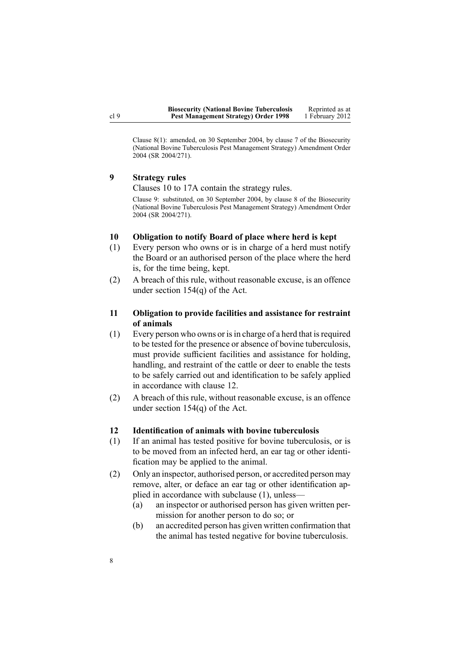<span id="page-7-0"></span>Clause 8(1): amended, on 30 September 2004, by [clause](http://www.legislation.govt.nz/pdflink.aspx?id=DLM283078) 7 of the Biosecurity (National Bovine Tuberculosis Pest Management Strategy) Amendment Order 2004 (SR 2004/271).

## **9 Strategy rules**

Clauses 10 to 17A contain the strategy rules.

Clause 9: substituted, on 30 September 2004, by [clause](http://www.legislation.govt.nz/pdflink.aspx?id=DLM283079) 8 of the Biosecurity (National Bovine Tuberculosis Pest Management Strategy) Amendment Order 2004 (SR 2004/271).

#### **10 Obligation to notify Board of place where herd is kept**

- (1) Every person who owns or is in charge of <sup>a</sup> herd must notify the Board or an authorised person of the place where the herd is, for the time being, kept.
- (2) A breach of this rule, without reasonable excuse, is an offence under section [154\(q\)](http://www.legislation.govt.nz/pdflink.aspx?id=DLM316713) of the Act.

# **11 Obligation to provide facilities and assistance for restraint of animals**

- $(1)$  Every person who owns or is in charge of a herd that is required to be tested for the presence or absence of bovine tuberculosis, must provide sufficient facilities and assistance for holding, handling, and restraint of the cattle or deer to enable the tests to be safely carried out and identification to be safely applied in accordance with clause 12.
- (2) A breach of this rule, without reasonable excuse, is an offence under section [154\(q\)](http://www.legislation.govt.nz/pdflink.aspx?id=DLM316713) of the Act.

#### **12 Identification of animals with bovine tuberculosis**

- (1) If an animal has tested positive for bovine tuberculosis, or is to be moved from an infected herd, an ear tag or other identification may be applied to the animal.
- (2) Only an inspector, authorised person, or accredited person may remove, alter, or deface an ear tag or other identification applied in accordance with subclause (1), unless—
	- (a) an inspector or authorised person has given written permission for another person to do so; or
	- (b) an accredited person has given written confirmation that the animal has tested negative for bovine tuberculosis.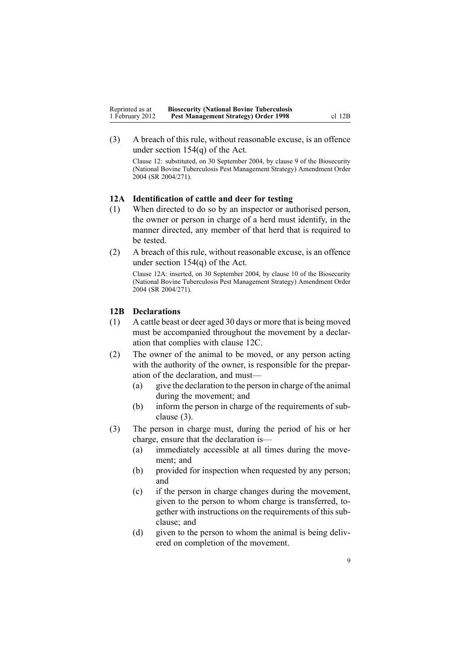<span id="page-8-0"></span>(3) A breach of this rule, without reasonable excuse, is an offence under section [154\(q\)](http://www.legislation.govt.nz/pdflink.aspx?id=DLM316713) of the Act.

Clause 12: substituted, on 30 September 2004, by [clause](http://www.legislation.govt.nz/pdflink.aspx?id=DLM283081) 9 of the Biosecurity (National Bovine Tuberculosis Pest Management Strategy) Amendment Order 2004 (SR 2004/271).

# **12A Identification of cattle and deer for testing**

- (1) When directed to do so by an inspector or authorised person, the owner or person in charge of <sup>a</sup> herd must identify, in the manner directed, any member of that herd that is required to be tested.
- (2) A breach of this rule, without reasonable excuse, is an offence under section [154\(q\)](http://www.legislation.govt.nz/pdflink.aspx?id=DLM316713) of the Act.

Clause 12A: inserted, on 30 September 2004, by [clause](http://www.legislation.govt.nz/pdflink.aspx?id=DLM283083) 10 of the Biosecurity (National Bovine Tuberculosis Pest Management Strategy) Amendment Order 2004 (SR 2004/271).

#### **12B Declarations**

- (1) A cattle beast or deer aged 30 days or more that is being moved must be accompanied throughout the movement by <sup>a</sup> declaration that complies with [clause](#page-9-0) 12C.
- (2) The owner of the animal to be moved, or any person acting with the authority of the owner, is responsible for the preparation of the declaration, and must—
	- (a) give the declaration to the person in charge of the animal during the movement; and
	- (b) inform the person in charge of the requirements of subclause (3).
- (3) The person in charge must, during the period of his or her charge, ensure that the declaration is—
	- (a) immediately accessible at all times during the movement; and
	- (b) provided for inspection when requested by any person; and
	- (c) if the person in charge changes during the movement, given to the person to whom charge is transferred, together with instructions on the requirements of this subclause; and
	- (d) given to the person to whom the animal is being delivered on completion of the movement.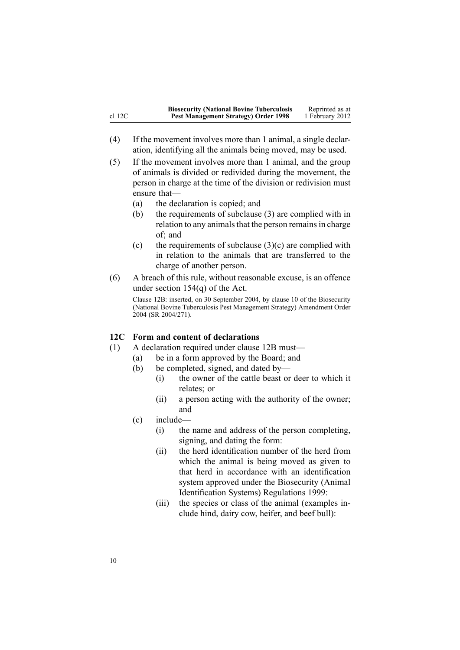<span id="page-9-0"></span>

|          | <b>Biosecurity (National Bovine Tuberculosis</b> | Reprinted as at |
|----------|--------------------------------------------------|-----------------|
| $cl$ 12C | <b>Pest Management Strategy) Order 1998</b>      | 1 February 2012 |

(4) If the movement involves more than 1 animal, <sup>a</sup> single declaration, identifying all the animals being moved, may be used.

(5) If the movement involves more than 1 animal, and the group of animals is divided or redivided during the movement, the person in charge at the time of the division or redivision must ensure that—

- (a) the declaration is copied; and
- (b) the requirements of subclause (3) are complied with in relation to any animals that the person remains in charge of; and
- (c) the requirements of subclause  $(3)(c)$  are complied with in relation to the animals that are transferred to the charge of another person.
- (6) A breach of this rule, without reasonable excuse, is an offence under section [154\(q\)](http://www.legislation.govt.nz/pdflink.aspx?id=DLM316713) of the Act.

Clause 12B: inserted, on 30 September 2004, by [clause](http://www.legislation.govt.nz/pdflink.aspx?id=DLM283083) 10 of the Biosecurity (National Bovine Tuberculosis Pest Management Strategy) Amendment Order 2004 (SR 2004/271).

# **12C Form and content of declarations**

- (1) A declaration required under [clause](#page-8-0) 12B must—
	- (a) be in <sup>a</sup> form approved by the Board; and
	- (b) be completed, signed, and dated by—
		- (i) the owner of the cattle beast or deer to which it relates; or
		- (ii) <sup>a</sup> person acting with the authority of the owner; and
	- (c) include—
		- (i) the name and address of the person completing, signing, and dating the form:
		- (ii) the herd identification number of the herd from which the animal is being moved as given to that herd in accordance with an identification system approved under the [Biosecurity](http://www.legislation.govt.nz/pdflink.aspx?id=DLM284288) (Animal Identification Systems) [Regulations](http://www.legislation.govt.nz/pdflink.aspx?id=DLM284288) 1999:
		- (iii) the species or class of the animal (examples include hind, dairy cow, heifer, and beef bull):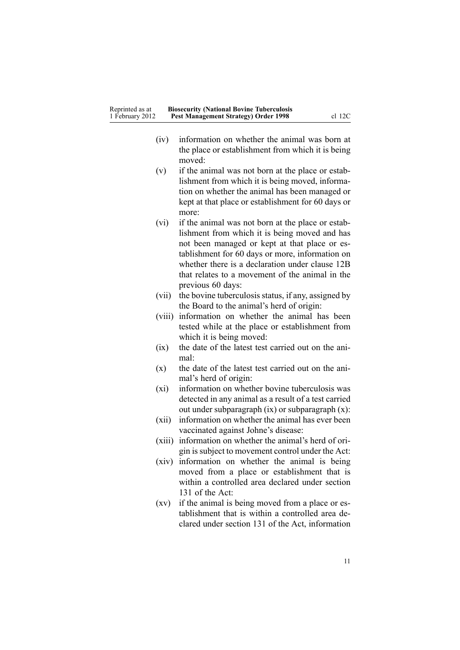| Reprinted as at | <b>Biosecurity (National Bovine Tuberculosis</b> |          |
|-----------------|--------------------------------------------------|----------|
| 1 February 2012 | <b>Pest Management Strategy) Order 1998</b>      | $cl$ 12C |

- (iv) information on whether the animal was born at the place or establishment from which it is being moved:
- (v) if the animal was not born at the place or establishment from which it is being moved, information on whether the animal has been managed or kept at that place or establishment for 60 days or more:
- (vi) if the animal was not born at the place or establishment from which it is being moved and has not been managed or kept at that place or establishment for 60 days or more, information on whether there is <sup>a</sup> declaration under [clause](#page-8-0) 12B that relates to <sup>a</sup> movement of the animal in the previous 60 days:
- (vii) the bovine tuberculosis status, if any, assigned by the Board to the animal's herd of origin:
- (viii) information on whether the animal has been tested while at the place or establishment from which it is being moved:
- (ix) the date of the latest test carried out on the animal:
- (x) the date of the latest test carried out on the animal's herd of origin:
- (xi) information on whether bovine tuberculosis was detected in any animal as <sup>a</sup> result of <sup>a</sup> test carried out under subparagraph (ix) or subparagraph (x):
- (xii) information on whether the animal has ever been vaccinated against Johne's disease:
- (xiii) information on whether the animal's herd of origin issubject to movement control under the Act:
- (xiv) information on whether the animal is being moved from <sup>a</sup> place or establishment that is within <sup>a</sup> controlled area declared under [section](http://www.legislation.govt.nz/pdflink.aspx?id=DLM316356) [131](http://www.legislation.govt.nz/pdflink.aspx?id=DLM316356) of the Act:
- (xv) if the animal is being moved from <sup>a</sup> place or establishment that is within <sup>a</sup> controlled area declared under [section](http://www.legislation.govt.nz/pdflink.aspx?id=DLM316356) 131 of the Act, information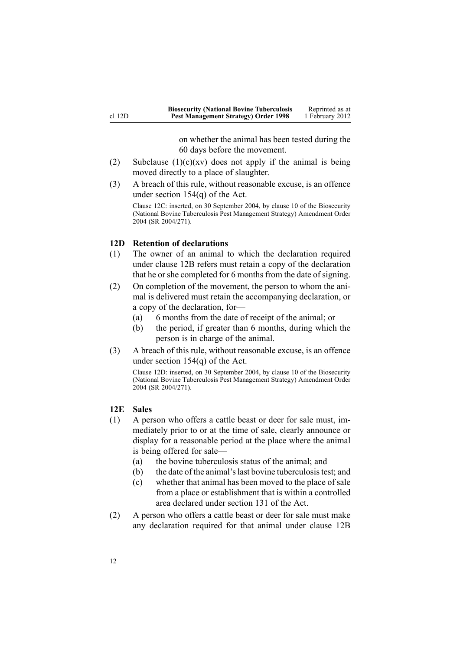on whether the animal has been tested during the 60 days before the movement.

- <span id="page-11-0"></span>(2) Subclause  $(1)(c)(xv)$  does not apply if the animal is being moved directly to <sup>a</sup> place of slaughter.
- (3) A breach of this rule, without reasonable excuse, is an offence under section [154\(q\)](http://www.legislation.govt.nz/pdflink.aspx?id=DLM316713) of the Act.

Clause 12C: inserted, on 30 September 2004, by [clause](http://www.legislation.govt.nz/pdflink.aspx?id=DLM283083) 10 of the Biosecurity (National Bovine Tuberculosis Pest Management Strategy) Amendment Order 2004 (SR 2004/271).

## **12D Retention of declarations**

- (1) The owner of an animal to which the declaration required under [clause](#page-8-0) 12B refers must retain <sup>a</sup> copy of the declaration that he or she completed for 6 months from the date of signing.
- (2) On completion of the movement, the person to whom the animal is delivered must retain the accompanying declaration, or <sup>a</sup> copy of the declaration, for—
	- (a) 6 months from the date of receipt of the animal; or
	- (b) the period, if greater than 6 months, during which the person is in charge of the animal.
- (3) A breach of this rule, without reasonable excuse, is an offence under section [154\(q\)](http://www.legislation.govt.nz/pdflink.aspx?id=DLM316713) of the Act.

Clause 12D: inserted, on 30 September 2004, by [clause](http://www.legislation.govt.nz/pdflink.aspx?id=DLM283083) 10 of the Biosecurity (National Bovine Tuberculosis Pest Management Strategy) Amendment Order 2004 (SR 2004/271).

## **12E Sales**

- (1) A person who offers <sup>a</sup> cattle beast or deer for sale must, immediately prior to or at the time of sale, clearly announce or display for <sup>a</sup> reasonable period at the place where the animal is being offered for sale—
	- (a) the bovine tuberculosis status of the animal; and
	- (b) the date of the animal'slast bovine tuberculosistest; and
	- (c) whether that animal has been moved to the place of sale from <sup>a</sup> place or establishment that is within <sup>a</sup> controlled area declared under [section](http://www.legislation.govt.nz/pdflink.aspx?id=DLM316356) 131 of the Act.
- (2) A person who offers <sup>a</sup> cattle beast or deer for sale must make any declaration required for that animal under [clause](#page-8-0) 12B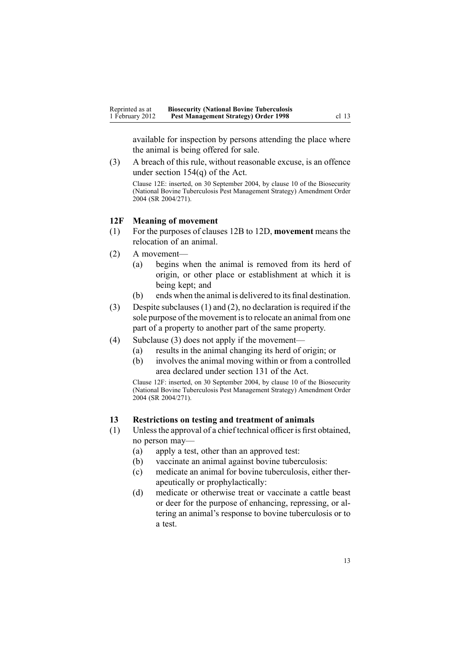<span id="page-12-0"></span>available for inspection by persons attending the place where the animal is being offered for sale.

(3) A breach of this rule, without reasonable excuse, is an offence under section [154\(q\)](http://www.legislation.govt.nz/pdflink.aspx?id=DLM316713) of the Act.

Clause 12E: inserted, on 30 September 2004, by [clause](http://www.legislation.govt.nz/pdflink.aspx?id=DLM283083) 10 of the Biosecurity (National Bovine Tuberculosis Pest Management Strategy) Amendment Order 2004 (SR 2004/271).

#### **12F Meaning of movement**

- (1) For the purposes of [clauses](#page-8-0) 12B to 12D, **movement** means the relocation of an animal.
- (2) A movement—
	- (a) begins when the animal is removed from its herd of origin, or other place or establishment at which it is being kept; and
	- (b) ends when the animal is delivered to its final destination.
- (3) Despite subclauses (1) and (2), no declaration is required if the sole purpose of the movement is to relocate an animal from one par<sup>t</sup> of <sup>a</sup> property to another par<sup>t</sup> of the same property.
- (4) Subclause (3) does not apply if the movement—
	- (a) results in the animal changing its herd of origin; or
	- (b) involves the animal moving within or from <sup>a</sup> controlled area declared under [section](http://www.legislation.govt.nz/pdflink.aspx?id=DLM316356) 131 of the Act.

Clause 12F: inserted, on 30 September 2004, by [clause](http://www.legislation.govt.nz/pdflink.aspx?id=DLM283083) 10 of the Biosecurity (National Bovine Tuberculosis Pest Management Strategy) Amendment Order 2004 (SR 2004/271).

## **13 Restrictions on testing and treatment of animals**

- (1) Unlessthe approval of <sup>a</sup> chief technical officer is first obtained, no person may—
	- (a) apply <sup>a</sup> test, other than an approved test:
	- (b) vaccinate an animal against bovine tuberculosis:
	- (c) medicate an animal for bovine tuberculosis, either therapeutically or prophylactically:
	- (d) medicate or otherwise treat or vaccinate <sup>a</sup> cattle beast or deer for the purpose of enhancing, repressing, or altering an animal's response to bovine tuberculosis or to a test.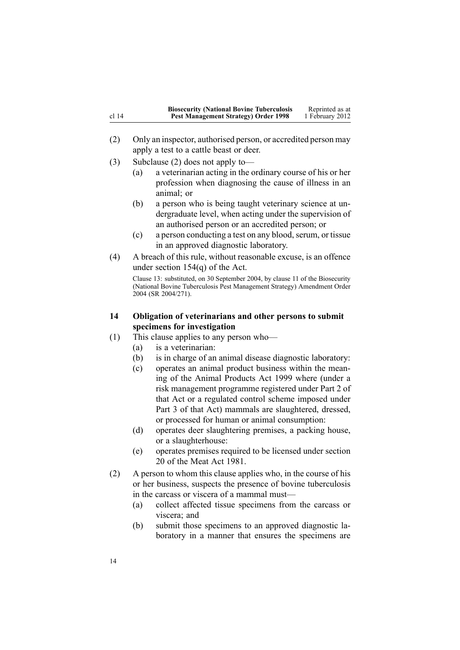<span id="page-13-0"></span>

|         | <b>Biosecurity (National Bovine Tuberculosis</b> | Reprinted as at |
|---------|--------------------------------------------------|-----------------|
| cl $14$ | <b>Pest Management Strategy) Order 1998</b>      | 1 February 2012 |

- (2) Only an inspector, authorised person, or accredited person may apply <sup>a</sup> test to <sup>a</sup> cattle beast or deer.
- (3) Subclause (2) does not apply to—
	- (a) <sup>a</sup> veterinarian acting in the ordinary course of his or her profession when diagnosing the cause of illness in an animal; or
	- (b) <sup>a</sup> person who is being taught veterinary science at undergraduate level, when acting under the supervision of an authorised person or an accredited person; or
	- $(c)$  a person conducting a test on any blood, serum, or tissue in an approved diagnostic laboratory.
- (4) A breach of this rule, without reasonable excuse, is an offence under section [154\(q\)](http://www.legislation.govt.nz/pdflink.aspx?id=DLM316713) of the Act.

Clause 13: substituted, on 30 September 2004, by [clause](http://www.legislation.govt.nz/pdflink.aspx?id=DLM283091) 11 of the Biosecurity (National Bovine Tuberculosis Pest Management Strategy) Amendment Order 2004 (SR 2004/271).

- **14 Obligation of veterinarians and other persons to submit specimens for investigation**
- (1) This clause applies to any person who—
	- (a) is <sup>a</sup> veterinarian:
	- (b) is in charge of an animal disease diagnostic laboratory:
	- (c) operates an animal product business within the meaning of the Animal [Products](http://www.legislation.govt.nz/pdflink.aspx?id=DLM33501) Act 1999 where (under <sup>a</sup> risk managemen<sup>t</sup> programme registered under [Part](http://www.legislation.govt.nz/pdflink.aspx?id=DLM34308) 2 of that Act or <sup>a</sup> regulated control scheme imposed under [Part](http://www.legislation.govt.nz/pdflink.aspx?id=DLM34388) 3 of that Act) mammals are slaughtered, dressed, or processed for human or animal consumption:
	- (d) operates deer slaughtering premises, <sup>a</sup> packing house, or <sup>a</sup> slaughterhouse:
	- (e) operates premises required to be licensed under section 20 of the Meat Act 1981.
- (2) A person to whom this clause applies who, in the course of his or her business, suspects the presence of bovine tuberculosis in the carcass or viscera of <sup>a</sup> mammal must—
	- (a) collect affected tissue specimens from the carcass or viscera; and
	- (b) submit those specimens to an approved diagnostic laboratory in <sup>a</sup> manner that ensures the specimens are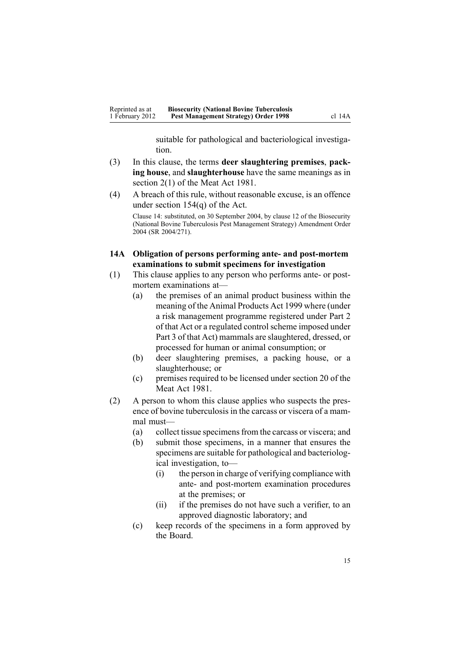suitable for pathological and bacteriological investigation.

- <span id="page-14-0"></span>(3) In this clause, the terms **deer slaughtering premises**, **packing house**, and **slaughterhouse** have the same meanings as in section 2(1) of the Meat Act 1981.
- (4) A breach of this rule, without reasonable excuse, is an offence under section [154\(q\)](http://www.legislation.govt.nz/pdflink.aspx?id=DLM316713) of the Act.

Clause 14: substituted, on 30 September 2004, by [clause](http://www.legislation.govt.nz/pdflink.aspx?id=DLM283093) 12 of the Biosecurity (National Bovine Tuberculosis Pest Management Strategy) Amendment Order 2004 (SR 2004/271).

## **14A Obligation of persons performing ante- and post-mortem examinations to submit specimens for investigation**

- (1) This clause applies to any person who performs ante- or postmortem examinations at—
	- (a) the premises of an animal product business within the meaning of the Animal [Products](http://www.legislation.govt.nz/pdflink.aspx?id=DLM33501) Act 1999 where (under <sup>a</sup> risk managemen<sup>t</sup> programme registered under [Part](http://www.legislation.govt.nz/pdflink.aspx?id=DLM34308) 2 of that Act or a regulated control scheme imposed under [Part](http://www.legislation.govt.nz/pdflink.aspx?id=DLM34388) 3 of that Act) mammals are slaughtered, dressed, or processed for human or animal consumption; or
	- (b) deer slaughtering premises, <sup>a</sup> packing house, or <sup>a</sup> slaughterhouse; or
	- (c) premises required to be licensed under section 20 of the Meat Act 1981.
- (2) A person to whom this clause applies who suspects the presence of bovine tuberculosis in the carcass or viscera of <sup>a</sup> mammal must—
	- (a) collect tissue specimensfrom the carcass or viscera; and
	- (b) submit those specimens, in <sup>a</sup> manner that ensures the specimens are suitable for pathological and bacteriological investigation, to—
		- (i) the person in charge of verifying compliance with ante- and post-mortem examination procedures at the premises; or
		- (ii) if the premises do not have such <sup>a</sup> verifier, to an approved diagnostic laboratory; and
	- (c) keep records of the specimens in <sup>a</sup> form approved by the Board.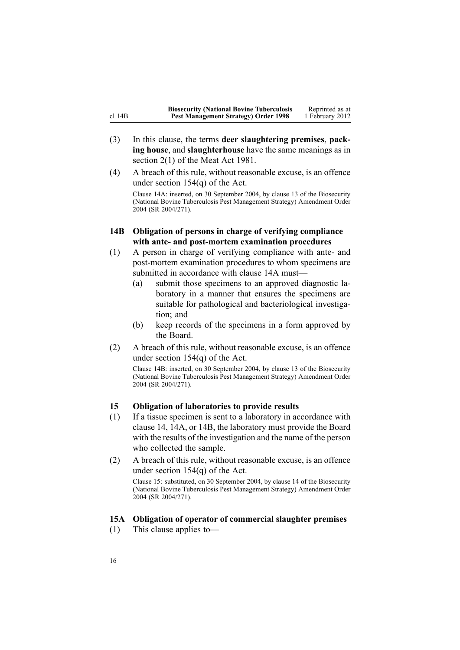<span id="page-15-0"></span>

|          | <b>Biosecurity (National Bovine Tuberculosis</b> | Reprinted as at |
|----------|--------------------------------------------------|-----------------|
| cl $14B$ | Pest Management Strategy) Order 1998             | 1 February 2012 |

- (3) In this clause, the terms **deer slaughtering premises**, **packing house**, and **slaughterhouse** have the same meanings as in section 2(1) of the Meat Act 1981.
- (4) A breach of this rule, without reasonable excuse, is an offence under section [154\(q\)](http://www.legislation.govt.nz/pdflink.aspx?id=DLM316713) of the Act. Clause 14A: inserted, on 30 September 2004, by [clause](http://www.legislation.govt.nz/pdflink.aspx?id=DLM283098) 13 of the Biosecurity (National Bovine Tuberculosis Pest Management Strategy) Amendment Order 2004 (SR 2004/271).
- **14B Obligation of persons in charge of verifying compliance with ante- and post-mortem examination procedures**
- (1) A person in charge of verifying compliance with ante- and post-mortem examination procedures to whom specimens are submitted in accordance with [clause](#page-14-0) 14A must—
	- (a) submit those specimens to an approved diagnostic laboratory in <sup>a</sup> manner that ensures the specimens are suitable for pathological and bacteriological investigation; and
	- (b) keep records of the specimens in <sup>a</sup> form approved by the Board.
- (2) A breach of this rule, without reasonable excuse, is an offence under section [154\(q\)](http://www.legislation.govt.nz/pdflink.aspx?id=DLM316713) of the Act.

Clause 14B: inserted, on 30 September 2004, by [clause](http://www.legislation.govt.nz/pdflink.aspx?id=DLM283098) 13 of the Biosecurity (National Bovine Tuberculosis Pest Management Strategy) Amendment Order 2004 (SR 2004/271).

## **15 Obligation of laboratories to provide results**

- (1) If <sup>a</sup> tissue specimen is sent to <sup>a</sup> laboratory in accordance with [clause](#page-13-0) 14, [14A](#page-14-0), or 14B, the laboratory must provide the Board with the results of the investigation and the name of the person who collected the sample.
- (2) A breach of this rule, without reasonable excuse, is an offence under section [154\(q\)](http://www.legislation.govt.nz/pdflink.aspx?id=DLM316713) of the Act. Clause 15: substituted, on 30 September 2004, by [clause](http://www.legislation.govt.nz/pdflink.aspx?id=DLM283604) 14 of the Biosecurity (National Bovine Tuberculosis Pest Management Strategy) Amendment Order 2004 (SR 2004/271).

#### **15A Obligation of operator of commercial slaughter premises**

(1) This clause applies to—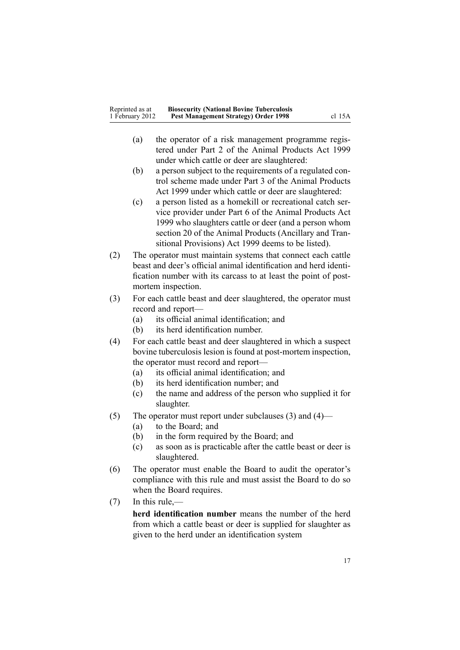- (a) the operator of <sup>a</sup> risk managemen<sup>t</sup> programme registered under [Part](http://www.legislation.govt.nz/pdflink.aspx?id=DLM34308) 2 of the Animal Products Act 1999 under which cattle or deer are slaughtered:
- (b) <sup>a</sup> person subject to the requirements of <sup>a</sup> regulated control scheme made under [Part](http://www.legislation.govt.nz/pdflink.aspx?id=DLM34388) 3 of the Animal Products Act 1999 under which cattle or deer are slaughtered:
- (c) <sup>a</sup> person listed as <sup>a</sup> homekill or recreational catch service provider under [Part](http://www.legislation.govt.nz/pdflink.aspx?id=DLM34877) 6 of the Animal Products Act 1999 who slaughters cattle or deer (and <sup>a</sup> person whom [section](http://www.legislation.govt.nz/pdflink.aspx?id=DLM37216) 20 of the Animal Products (Ancillary and Transitional Provisions) Act 1999 deems to be listed).
- (2) The operator must maintain systems that connect each cattle beast and deer's official animal identification and herd identification number with its carcass to at least the point of postmortem inspection.
- (3) For each cattle beast and deer slaughtered, the operator must record and report—
	- (a) its official animal identification; and
	- (b) its herd identification number.
- (4) For each cattle beast and deer slaughtered in which <sup>a</sup> suspec<sup>t</sup> bovine tuberculosis lesion is found at post-mortem inspection, the operator must record and report—
	- (a) its official animal identification; and
	- (b) its herd identification number; and
	- (c) the name and address of the person who supplied it for slaughter.
- (5) The operator must repor<sup>t</sup> under subclauses (3) and (4)—
	- (a) to the Board; and
	- (b) in the form required by the Board; and
	- (c) as soon as is practicable after the cattle beast or deer is slaughtered.
- (6) The operator must enable the Board to audit the operator's compliance with this rule and must assist the Board to do so when the Board requires.
- (7) In this rule,—

**herd identification number** means the number of the herd from which <sup>a</sup> cattle beast or deer is supplied for slaughter as given to the herd under an identification system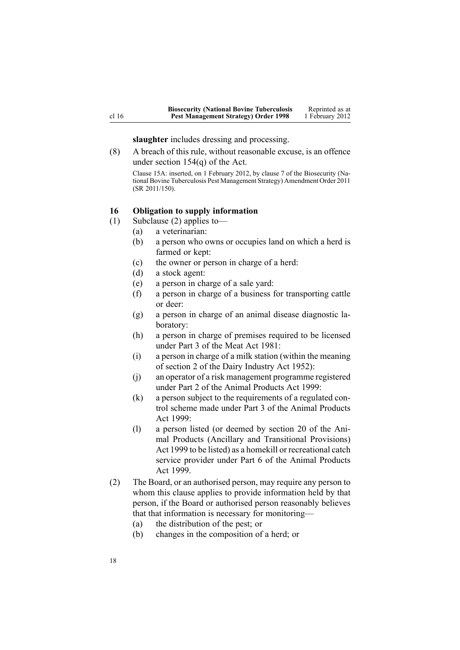**slaughter** includes dressing and processing.

<span id="page-17-0"></span>(8) A breach of this rule, without reasonable excuse, is an offence under section [154\(q\)](http://www.legislation.govt.nz/pdflink.aspx?id=DLM316713) of the Act.

Clause 15A: inserted, on 1 February 2012, by [clause](http://www.legislation.govt.nz/pdflink.aspx?id=DLM3765101) 7 of the Biosecurity (National Bovine Tuberculosis Pest Management Strategy) Amendment Order 2011 (SR 2011/150).

## **16 Obligation to supply information**

- (1) Subclause (2) applies to—
	- (a) <sup>a</sup> veterinarian:
	- (b) <sup>a</sup> person who owns or occupies land on which <sup>a</sup> herd is farmed or kept:
	- (c) the owner or person in charge of <sup>a</sup> herd:
	- (d) <sup>a</sup> stock agent:
	- (e) <sup>a</sup> person in charge of <sup>a</sup> sale yard:
	- (f) <sup>a</sup> person in charge of <sup>a</sup> business for transporting cattle or deer:
	- (g) <sup>a</sup> person in charge of an animal disease diagnostic laboratory:
	- (h) <sup>a</sup> person in charge of premises required to be licensed under Part 3 of the Meat Act 1981:
	- (i) <sup>a</sup> person in charge of <sup>a</sup> milk station (within the meaning of section 2 of the Dairy Industry Act 1952):
	- (j) an operator of <sup>a</sup> risk managemen<sup>t</sup> programme registered under [Part](http://www.legislation.govt.nz/pdflink.aspx?id=DLM34308) 2 of the Animal Products Act 1999:
	- (k) <sup>a</sup> person subject to the requirements of <sup>a</sup> regulated control scheme made under [Part](http://www.legislation.govt.nz/pdflink.aspx?id=DLM34388) 3 of the Animal Products Act 1999:
	- (l) <sup>a</sup> person listed (or deemed by [section](http://www.legislation.govt.nz/pdflink.aspx?id=DLM37216) 20 of the Animal Products (Ancillary and Transitional Provisions) Act 1999 to be listed) as <sup>a</sup> homekill or recreational catch service provider under [Part](http://www.legislation.govt.nz/pdflink.aspx?id=DLM34877) 6 of the Animal Products Act 1999.
- (2) The Board, or an authorised person, may require any person to whom this clause applies to provide information held by that person, if the Board or authorised person reasonably believes that that information is necessary for monitoring—
	- (a) the distribution of the pest; or
	- (b) changes in the composition of <sup>a</sup> herd; or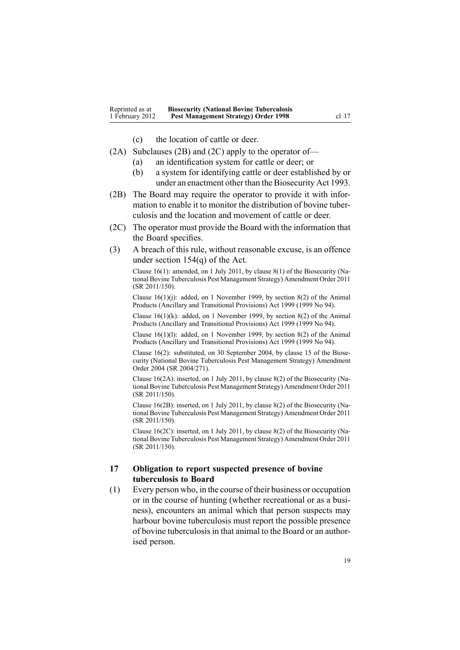- (c) the location of cattle or deer.
- <span id="page-18-0"></span>(2A) Subclauses (2B) and (2C) apply to the operator of—
	- (a) an identification system for cattle or deer; or
	- (b) <sup>a</sup> system for identifying cattle or deer established by or under an enactment other than the [Biosecurity](http://www.legislation.govt.nz/pdflink.aspx?id=DLM314622) Act 1993.
- (2B) The Board may require the operator to provide it with information to enable it to monitor the distribution of bovine tuberculosis and the location and movement of cattle or deer.
- (2C) The operator must provide the Board with the information that the Board specifies.
- (3) A breach of this rule, without reasonable excuse, is an offence under section [154\(q\)](http://www.legislation.govt.nz/pdflink.aspx?id=DLM316713) of the Act.

Clause 16(1): amended, on 1 July 2011, by [clause](http://www.legislation.govt.nz/pdflink.aspx?id=DLM3765133) 8(1) of the Biosecurity (National Bovine Tuberculosis Pest Management Strategy) Amendment Order 2011 (SR 2011/150).

Clause  $16(1)(j)$ : added, on 1 November 1999, by [section](http://www.legislation.govt.nz/pdflink.aspx?id=DLM36187) 8(2) of the Animal Products (Ancillary and Transitional Provisions) Act 1999 (1999 No 94).

Clause  $16(1)(k)$ : added, on 1 November 1999, by [section](http://www.legislation.govt.nz/pdflink.aspx?id=DLM36187) 8(2) of the Animal Products (Ancillary and Transitional Provisions) Act 1999 (1999 No 94).

Clause 16(1)(l): added, on 1 November 1999, by [section](http://www.legislation.govt.nz/pdflink.aspx?id=DLM36187) 8(2) of the Animal Products (Ancillary and Transitional Provisions) Act 1999 (1999 No 94).

Clause 16(2): substituted, on 30 September 2004, by [clause](http://www.legislation.govt.nz/pdflink.aspx?id=DLM283606) 15 of the Biosecurity (National Bovine Tuberculosis Pest Management Strategy) Amendment Order 2004 (SR 2004/271).

Clause 16(2A): inserted, on 1 July 2011, by [clause](http://www.legislation.govt.nz/pdflink.aspx?id=DLM3765133) 8(2) of the Biosecurity (National Bovine Tuberculosis Pest Management Strategy) Amendment Order 2011 (SR 2011/150).

Clause 16(2B): inserted, on 1 July 2011, by [clause](http://www.legislation.govt.nz/pdflink.aspx?id=DLM3765133) 8(2) of the Biosecurity (National Bovine Tuberculosis Pest Management Strategy) Amendment Order 2011 (SR 2011/150).

Clause 16(2C): inserted, on 1 July 2011, by [clause](http://www.legislation.govt.nz/pdflink.aspx?id=DLM3765133) 8(2) of the Biosecurity (National Bovine Tuberculosis Pest Management Strategy) Amendment Order 2011 (SR 2011/150).

# **17 Obligation to report suspected presence of bovine tuberculosis to Board**

(1) Every person who, in the course of their business or occupation or in the course of hunting (whether recreational or as <sup>a</sup> business), encounters an animal which that person suspects may harbour bovine tuberculosis must repor<sup>t</sup> the possible presence of bovine tuberculosisin that animal to the Board or an authorised person.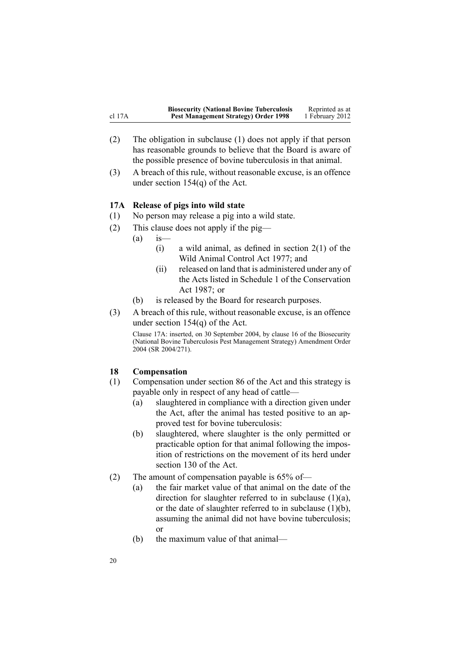<span id="page-19-0"></span>

|             | <b>Biosecurity (National Bovine Tuberculosis</b> | Reprinted as at |
|-------------|--------------------------------------------------|-----------------|
| $cl$ 17 $A$ | <b>Pest Management Strategy) Order 1998</b>      | 1 February 2012 |

- (2) The obligation in subclause (1) does not apply if that person has reasonable grounds to believe that the Board is aware of the possible presence of bovine tuberculosis in that animal.
- (3) A breach of this rule, without reasonable excuse, is an offence under section [154\(q\)](http://www.legislation.govt.nz/pdflink.aspx?id=DLM316713) of the Act.

#### **17A Release of pigs into wild state**

- (1) No person may release <sup>a</sup> pig into <sup>a</sup> wild state.
- (2) This clause does not apply if the pig—
	- $(a)$  is
		- (i) a wild animal, as defined in [section](http://www.legislation.govt.nz/pdflink.aspx?id=DLM16628)  $2(1)$  of the Wild Animal Control Act 1977; and
		- (ii) released on land that is administered under any of the Acts listed in [Schedule](http://www.legislation.govt.nz/pdflink.aspx?id=DLM107200) 1 of the Conservation Act 1987; or
	- (b) is released by the Board for research purposes.
- (3) A breach of this rule, without reasonable excuse, is an offence under section [154\(q\)](http://www.legislation.govt.nz/pdflink.aspx?id=DLM316713) of the Act.

Clause 17A: inserted, on 30 September 2004, by [clause](http://www.legislation.govt.nz/pdflink.aspx?id=DLM283607) 16 of the Biosecurity (National Bovine Tuberculosis Pest Management Strategy) Amendment Order 2004 (SR 2004/271).

## **18 Compensation**

- (1) Compensation under [section](http://www.legislation.govt.nz/pdflink.aspx?id=DLM315785) 86 of the Act and this strategy is payable only in respec<sup>t</sup> of any head of cattle—
	- (a) slaughtered in compliance with <sup>a</sup> direction given under the Act, after the animal has tested positive to an approved test for bovine tuberculosis:
	- (b) slaughtered, where slaughter is the only permitted or practicable option for that animal following the imposition of restrictions on the movement of its herd under [section](http://www.legislation.govt.nz/pdflink.aspx?id=DLM316351) 130 of the Act.
- (2) The amount of compensation payable is 65% of—
	- (a) the fair market value of that animal on the date of the direction for slaughter referred to in subclause (1)(a), or the date of slaughter referred to in subclause  $(1)(b)$ , assuming the animal did not have bovine tuberculosis; or
	- (b) the maximum value of that animal—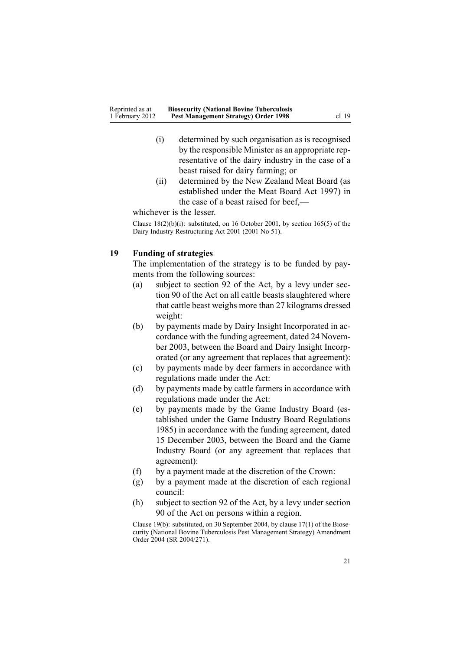- <span id="page-20-0"></span>(i) determined by such organisation as is recognised by the responsible Minister as an appropriate representative of the dairy industry in the case of <sup>a</sup> beast raised for dairy farming; or
- (ii) determined by the New Zealand Meat Board (as established under the Meat Board Act 1997) in the case of <sup>a</sup> beast raised for beef,—

whichever is the lesser.

Clause 18(2)(b)(i): substituted, on 16 October 2001, by section [165\(5\)](http://www.legislation.govt.nz/pdflink.aspx?id=DLM110110) of the Dairy Industry Restructuring Act 2001 (2001 No 51).

## **19 Funding of strategies**

The implementation of the strategy is to be funded by payments from the following sources:

- (a) subject to [section](http://www.legislation.govt.nz/pdflink.aspx?id=DLM315798) 92 of the Act, by <sup>a</sup> levy under [sec](http://www.legislation.govt.nz/pdflink.aspx?id=DLM315795)[tion](http://www.legislation.govt.nz/pdflink.aspx?id=DLM315795) 90 of the Act on all cattle beasts slaughtered where that cattle beast weighs more than 27 kilograms dressed weight:
- (b) by payments made by Dairy Insight Incorporated in accordance with the funding agreement, dated 24 November 2003, between the Board and Dairy Insight Incorporated (or any agreemen<sup>t</sup> that replaces that agreement):
- (c) by payments made by deer farmers in accordance with regulations made under the Act:
- (d) by payments made by cattle farmers in accordance with regulations made under the Act:
- (e) by payments made by the Game Industry Board (established under the Game Industry Board Regulations 1985) in accordance with the funding agreement, dated 15 December 2003, between the Board and the Game Industry Board (or any agreemen<sup>t</sup> that replaces that agreement):
- (f) by <sup>a</sup> paymen<sup>t</sup> made at the discretion of the Crown:
- (g) by <sup>a</sup> paymen<sup>t</sup> made at the discretion of each regional council:
- (h) subject to [section](http://www.legislation.govt.nz/pdflink.aspx?id=DLM315798) 92 of the Act, by <sup>a</sup> levy under [section](http://www.legislation.govt.nz/pdflink.aspx?id=DLM315795) [90](http://www.legislation.govt.nz/pdflink.aspx?id=DLM315795) of the Act on persons within <sup>a</sup> region.

Clause 19(b): substituted, on 30 September 2004, by clause [17\(1\)](http://www.legislation.govt.nz/pdflink.aspx?id=DLM283609) of the Biosecurity (National Bovine Tuberculosis Pest Management Strategy) Amendment Order 2004 (SR 2004/271).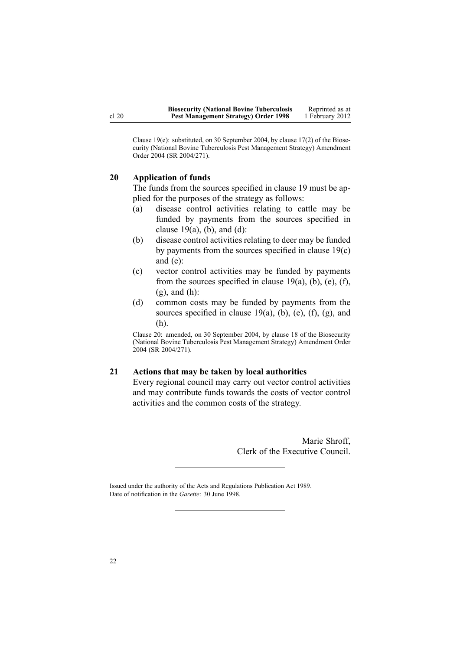<span id="page-21-0"></span>Clause 19(e): substituted, on 30 September 2004, by [clause](http://www.legislation.govt.nz/pdflink.aspx?id=DLM283609) 17(2) of the Biosecurity (National Bovine Tuberculosis Pest Management Strategy) Amendment Order 2004 (SR 2004/271).

# **20 Application of funds**

The funds from the sources specified in [clause](#page-20-0) 19 must be applied for the purposes of the strategy as follows:

- (a) disease control activities relating to cattle may be funded by payments from the sources specified in clause  $19(a)$ , (b), and (d):
- (b) disease control activities relating to deer may be funded by payments from the sources specified in [clause](#page-20-0) 19(c) and [\(e\)](#page-20-0):
- (c) vector control activities may be funded by payments from the sources specified in clause  $19(a)$ , (b), (e), (f),  $(g)$ , and  $(h)$ :
- (d) common costs may be funded by payments from the sources specified in clause  $19(a)$ , (b), (e), (f), (g), and [\(h\)](#page-20-0).

Clause 20: amended, on 30 September 2004, by [clause](http://www.legislation.govt.nz/pdflink.aspx?id=DLM283610) 18 of the Biosecurity (National Bovine Tuberculosis Pest Management Strategy) Amendment Order 2004 (SR 2004/271).

#### **21 Actions that may be taken by local authorities**

Every regional council may carry out vector control activities and may contribute funds towards the costs of vector control activities and the common costs of the strategy.

> Marie Shroff, Clerk of the Executive Council.

Issued under the authority of the Acts and [Regulations](http://www.legislation.govt.nz/pdflink.aspx?id=DLM195097) Publication Act 1989. Date of notification in the *Gazette*: 30 June 1998.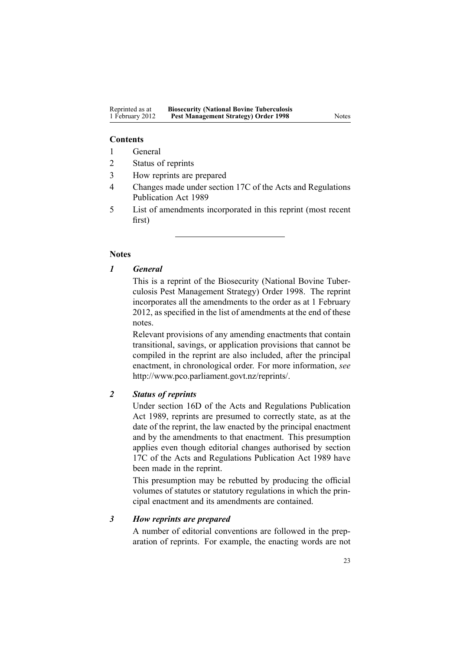#### **Contents**

- 1 General
- 2 Status of reprints
- 3 How reprints are prepared
- 4 Changes made under section 17C of the Acts and Regulations Publication Act 1989
- 5 List of amendments incorporated in this reprint (most recent first)

## **Notes**

# *1 General*

This is <sup>a</sup> reprint of the Biosecurity (National Bovine Tuberculosis Pest Management Strategy) Order 1998. The reprint incorporates all the amendments to the order as at 1 February 2012, as specified in the list of amendments at the end of these notes.

Relevant provisions of any amending enactments that contain transitional, savings, or application provisions that cannot be compiled in the reprint are also included, after the principal enactment, in chronological order. For more information, *see* <http://www.pco.parliament.govt.nz/reprints/>.

# *2 Status of reprints*

Under [section](http://www.legislation.govt.nz/pdflink.aspx?id=DLM195439) 16D of the Acts and Regulations Publication Act 1989, reprints are presumed to correctly state, as at the date of the reprint, the law enacted by the principal enactment and by the amendments to that enactment. This presumption applies even though editorial changes authorised by [section](http://www.legislation.govt.nz/pdflink.aspx?id=DLM195466) [17C](http://www.legislation.govt.nz/pdflink.aspx?id=DLM195466) of the Acts and Regulations Publication Act 1989 have been made in the reprint.

This presumption may be rebutted by producing the official volumes of statutes or statutory regulations in which the principal enactment and its amendments are contained.

# *3 How reprints are prepared*

A number of editorial conventions are followed in the preparation of reprints. For example, the enacting words are not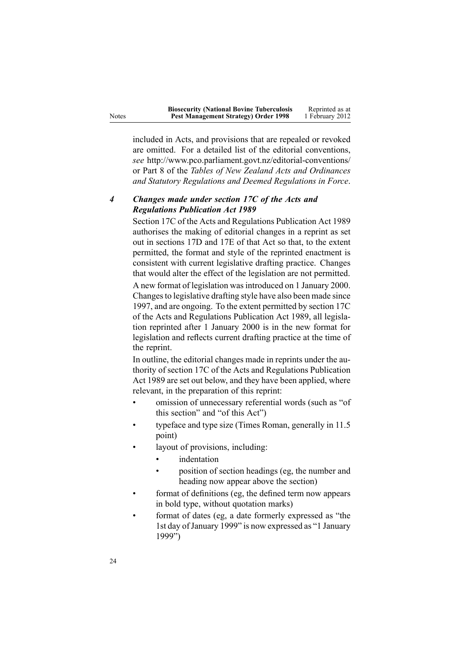| <b>Biosecurity (National Bovine Tuberculosis</b> | Reprinted as at |
|--------------------------------------------------|-----------------|
| Pest Management Strategy) Order 1998             | 1 February 2012 |

included in Acts, and provisions that are repealed or revoked are omitted. For <sup>a</sup> detailed list of the editorial conventions, *see* <http://www.pco.parliament.govt.nz/editorial-conventions/> or Part 8 of the *Tables of New Zealand Acts and Ordinances and Statutory Regulations and Deemed Regulations in Force*.

# *4 Changes made under section 17C of the Acts and Regulations Publication Act 1989*

[Section](http://www.legislation.govt.nz/pdflink.aspx?id=DLM195466) 17C of the Acts and Regulations Publication Act 1989 authorises the making of editorial changes in <sup>a</sup> reprint as set out in [sections](http://www.legislation.govt.nz/pdflink.aspx?id=DLM195468) 17D and [17E](http://www.legislation.govt.nz/pdflink.aspx?id=DLM195470) of that Act so that, to the extent permitted, the format and style of the reprinted enactment is consistent with current legislative drafting practice. Changes that would alter the effect of the legislation are not permitted.

A new format of legislation wasintroduced on 1 January 2000. Changes to legislative drafting style have also been made since 1997, and are ongoing. To the extent permitted by [section](http://www.legislation.govt.nz/pdflink.aspx?id=DLM195466) 17C of the Acts and Regulations Publication Act 1989, all legislation reprinted after 1 January 2000 is in the new format for legislation and reflects current drafting practice at the time of the reprint.

In outline, the editorial changes made in reprints under the authority of [section](http://www.legislation.govt.nz/pdflink.aspx?id=DLM195466) 17C of the Acts and Regulations Publication Act 1989 are set out below, and they have been applied, where relevant, in the preparation of this reprint:

- • omission of unnecessary referential words (such as "of this section" and "of this Act")
- • typeface and type size (Times Roman, generally in 11.5 point)
- • layout of provisions, including:
	- •indentation
	- • position of section headings (eg, the number and heading now appear above the section)
- • format of definitions (eg, the defined term now appears in bold type, without quotation marks)
- • format of dates (eg, <sup>a</sup> date formerly expressed as "the 1st day of January 1999" is now expressed as "1 January 1999")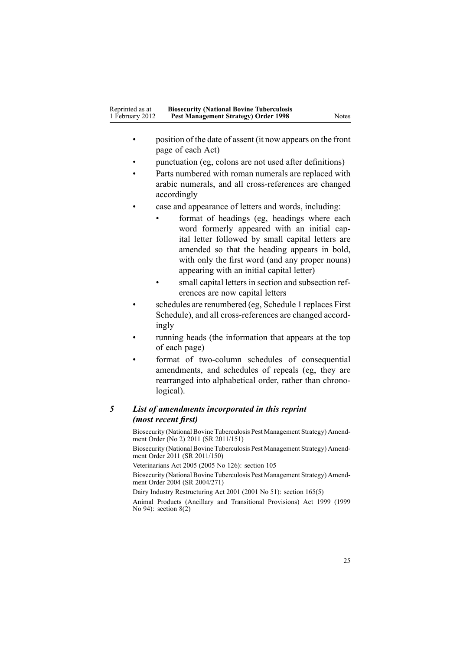- • position of the date of assent (it now appears on the front page of each Act)
- •punctuation (eg, colons are not used after definitions)
- • Parts numbered with roman numerals are replaced with arabic numerals, and all cross-references are changed accordingly
- • case and appearance of letters and words, including:
	- • format of headings (eg, headings where each word formerly appeared with an initial capital letter followed by small capital letters are amended so that the heading appears in bold, with only the first word (and any proper nouns) appearing with an initial capital letter)
	- • small capital letters in section and subsection references are now capital letters
- • schedules are renumbered (eg, Schedule 1 replaces First Schedule), and all cross-references are changed accordingly
- • running heads (the information that appears at the top of each page)
- • format of two-column schedules of consequential amendments, and schedules of repeals (eg, they are rearranged into alphabetical order, rather than chronological).

# *5 List of amendments incorporated in this reprint (most recent first)*

Biosecurity (National Bovine Tuberculosis Pest [Management](http://www.legislation.govt.nz/pdflink.aspx?id=DLM3696900) Strategy) Amendment [Order](http://www.legislation.govt.nz/pdflink.aspx?id=DLM3696900) (No 2) 2011 (SR 2011/151)

Biosecurity (National Bovine Tuberculosis Pest [Management](http://www.legislation.govt.nz/pdflink.aspx?id=DLM3765113) Strategy) Amendment [Order](http://www.legislation.govt.nz/pdflink.aspx?id=DLM3765113) 2011 (SR 2011/150)

Veterinarians Act 2005 (2005 No 126): [section](http://www.legislation.govt.nz/pdflink.aspx?id=DLM364675) 105

Biosecurity (National Bovine Tuberculosis Pest [Management](http://www.legislation.govt.nz/pdflink.aspx?id=DLM283054) Strategy) Amendment [Order](http://www.legislation.govt.nz/pdflink.aspx?id=DLM283054) 2004 (SR 2004/271)

Dairy Industry Restructuring Act 2001 (2001 No 51): section [165\(5\)](http://www.legislation.govt.nz/pdflink.aspx?id=DLM110110)

Animal Products (Ancillary and Transitional Provisions) Act 1999 (1999 No 94): [section](http://www.legislation.govt.nz/pdflink.aspx?id=DLM36187)  $8(2)$